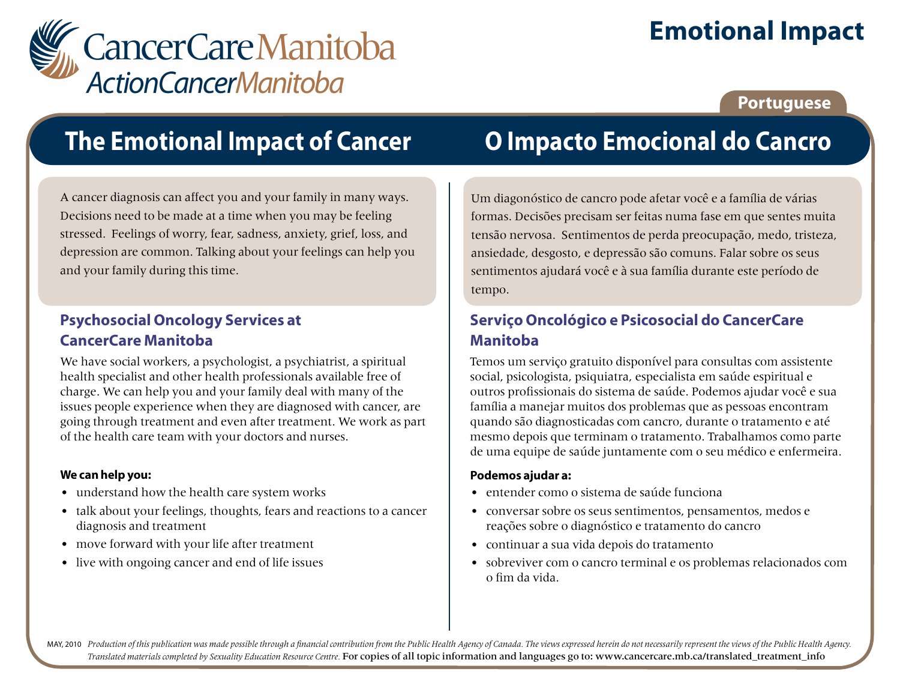

# **Emotional Impact**

### **Portuguese**

## **The Emotional Impact of Cancer**

A cancer diagnosis can affect you and your family in many ways. Decisions need to be made at a time when you may be feeling stressed. Feelings of worry, fear, sadness, anxiety, grief, loss, and depression are common. Talking about your feelings can help you and your family during this time.

### **Psychosocial Oncology Services at CancerCare Manitoba**

We have social workers, a psychologist, a psychiatrist, a spiritual health specialist and other health professionals available free of charge. We can help you and your family deal with many of the issues people experience when they are diagnosed with cancer, are going through treatment and even after treatment. We work as part of the health care team with your doctors and nurses.

### **We can help you:**

- understand how the health care system works
- talk about your feelings, thoughts, fears and reactions to a cancer diagnosis and treatment
- move forward with your life after treatment
- live with ongoing cancer and end of life issues

## **O Impacto Emocional do Cancro**

Um diagonóstico de cancro pode afetar você e a família de várias formas. Decisões precisam ser feitas numa fase em que sentes muita tensão nervosa. Sentimentos de perda preocupação, medo, tristeza, ansiedade, desgosto, e depressão são comuns. Falar sobre os seus sentimentos ajudará você e à sua família durante este período de tempo.

### **Serviço Oncológico e Psicosocial do CancerCare Manitoba**

Temos um serviço gratuito disponível para consultas com assistente social, psicologista, psiquiatra, especialista em saúde espiritual e outros profissionais do sistema de saúde. Podemos ajudar você e sua família a manejar muitos dos problemas que as pessoas encontram quando são diagnosticadas com cancro, durante o tratamento e até mesmo depois que terminam o tratamento. Trabalhamos como parte de uma equipe de saúde juntamente com o seu médico e enfermeira.

### **Podemos ajudar a:**

- entender como o sistema de saúde funciona
- conversar sobre os seus sentimentos, pensamentos, medos e reações sobre o diagnóstico e tratamento do cancro
- continuar a sua vida depois do tratamento
- sobreviver com o cancro terminal e os problemas relacionados com o fim da vida.

MAY, 2010 Production of this publication was made possible through a financial contribution from the Public Health Agency of Canada. The views expressed herein do not necessarily represent the views of the Public Health Ag *Translated materials completed by Sexuality Education Resource Centre.* For copies of all topic information and languages go to: www.cancercare.mb.ca/translated\_treatment\_info